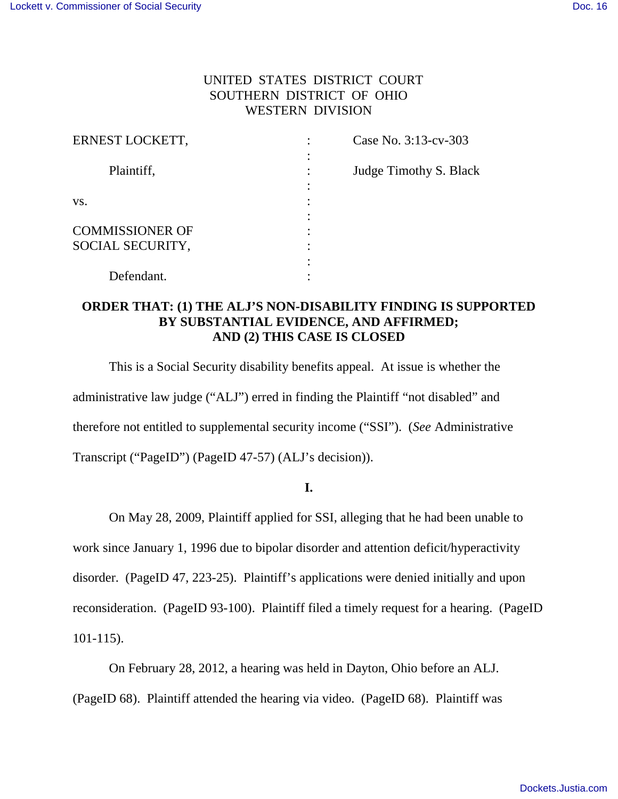# UNITED STATES DISTRICT COURT SOUTHERN DISTRICT OF OHIO WESTERN DIVISION

| ERNEST LOCKETT,        |   | Case No. 3:13-cv-303   |
|------------------------|---|------------------------|
| Plaintiff,             |   | Judge Timothy S. Black |
| VS.                    | ٠ |                        |
| <b>COMMISSIONER OF</b> |   |                        |
| SOCIAL SECURITY,       |   |                        |
| Defendant.             |   |                        |

## **ORDER THAT: (1) THE ALJ'S NON-DISABILITY FINDING IS SUPPORTED BY SUBSTANTIAL EVIDENCE, AND AFFIRMED; AND (2) THIS CASE IS CLOSED**

 This is a Social Security disability benefits appeal. At issue is whether the administrative law judge ("ALJ") erred in finding the Plaintiff "not disabled" and therefore not entitled to supplemental security income ("SSI"). (*See* Administrative Transcript ("PageID") (PageID 47-57) (ALJ's decision)).

## **I.**

On May 28, 2009, Plaintiff applied for SSI, alleging that he had been unable to work since January 1, 1996 due to bipolar disorder and attention deficit/hyperactivity disorder. (PageID 47, 223-25). Plaintiff's applications were denied initially and upon reconsideration. (PageID 93-100). Plaintiff filed a timely request for a hearing. (PageID 101-115).

On February 28, 2012, a hearing was held in Dayton, Ohio before an ALJ. (PageID 68). Plaintiff attended the hearing via video. (PageID 68). Plaintiff was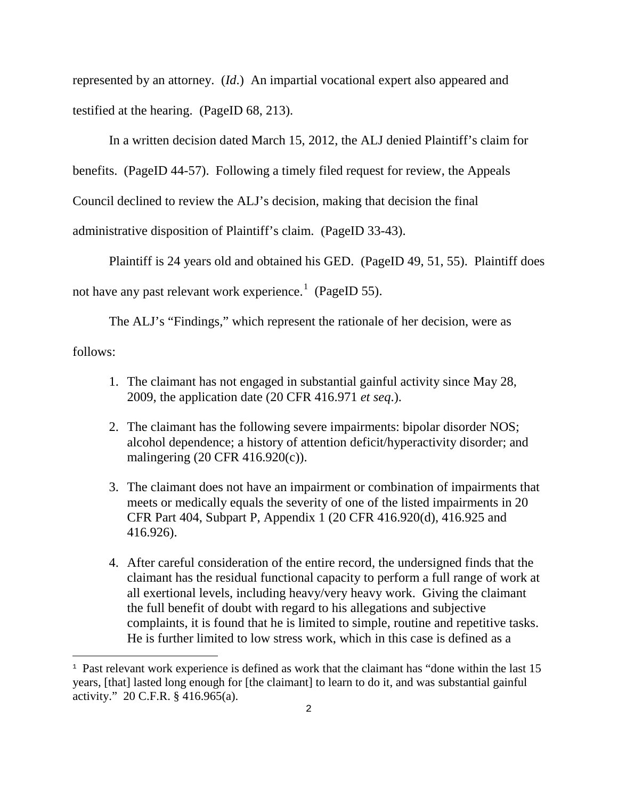represented by an attorney. (*Id*.) An impartial vocational expert also appeared and testified at the hearing. (PageID 68, 213).

In a written decision dated March 15, 2012, the ALJ denied Plaintiff's claim for benefits. (PageID 44-57). Following a timely filed request for review, the Appeals Council declined to review the ALJ's decision, making that decision the final administrative disposition of Plaintiff's claim. (PageID 33-43).

 Plaintiff is 24 years old and obtained his GED. (PageID 49, 51, 55). Plaintiff does not have any past relevant work experience.<sup>[1](#page-1-0)</sup> (PageID 55).

The ALJ's "Findings," which represent the rationale of her decision, were as follows:

- 1. The claimant has not engaged in substantial gainful activity since May 28, 2009, the application date (20 CFR 416.971 *et seq*.).
- 2. The claimant has the following severe impairments: bipolar disorder NOS; alcohol dependence; a history of attention deficit/hyperactivity disorder; and malingering (20 CFR 416.920(c)).
- 3. The claimant does not have an impairment or combination of impairments that meets or medically equals the severity of one of the listed impairments in 20 CFR Part 404, Subpart P, Appendix 1 (20 CFR 416.920(d), 416.925 and 416.926).
- 4. After careful consideration of the entire record, the undersigned finds that the claimant has the residual functional capacity to perform a full range of work at all exertional levels, including heavy/very heavy work. Giving the claimant the full benefit of doubt with regard to his allegations and subjective complaints, it is found that he is limited to simple, routine and repetitive tasks. He is further limited to low stress work, which in this case is defined as a

i<br>L

<span id="page-1-0"></span><sup>&</sup>lt;sup>1</sup> Past relevant work experience is defined as work that the claimant has "done within the last 15 years, [that] lasted long enough for [the claimant] to learn to do it, and was substantial gainful activity." 20 C.F.R. § 416.965(a).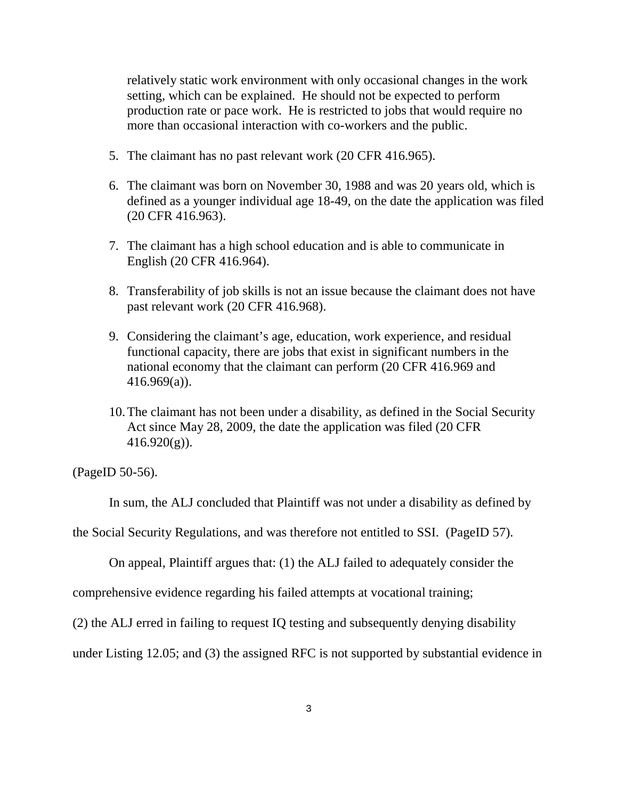relatively static work environment with only occasional changes in the work setting, which can be explained. He should not be expected to perform production rate or pace work. He is restricted to jobs that would require no more than occasional interaction with co-workers and the public.

- 5. The claimant has no past relevant work (20 CFR 416.965).
- 6. The claimant was born on November 30, 1988 and was 20 years old, which is defined as a younger individual age 18-49, on the date the application was filed (20 CFR 416.963).
- 7. The claimant has a high school education and is able to communicate in English (20 CFR 416.964).
- 8. Transferability of job skills is not an issue because the claimant does not have past relevant work (20 CFR 416.968).
- 9. Considering the claimant's age, education, work experience, and residual functional capacity, there are jobs that exist in significant numbers in the national economy that the claimant can perform (20 CFR 416.969 and 416.969(a)).
- 10.The claimant has not been under a disability, as defined in the Social Security Act since May 28, 2009, the date the application was filed (20 CFR  $416.920(g)$ ).

(PageID 50-56).

In sum, the ALJ concluded that Plaintiff was not under a disability as defined by

the Social Security Regulations, and was therefore not entitled to SSI. (PageID 57).

On appeal, Plaintiff argues that: (1) the ALJ failed to adequately consider the

comprehensive evidence regarding his failed attempts at vocational training;

(2) the ALJ erred in failing to request IQ testing and subsequently denying disability

under Listing 12.05; and (3) the assigned RFC is not supported by substantial evidence in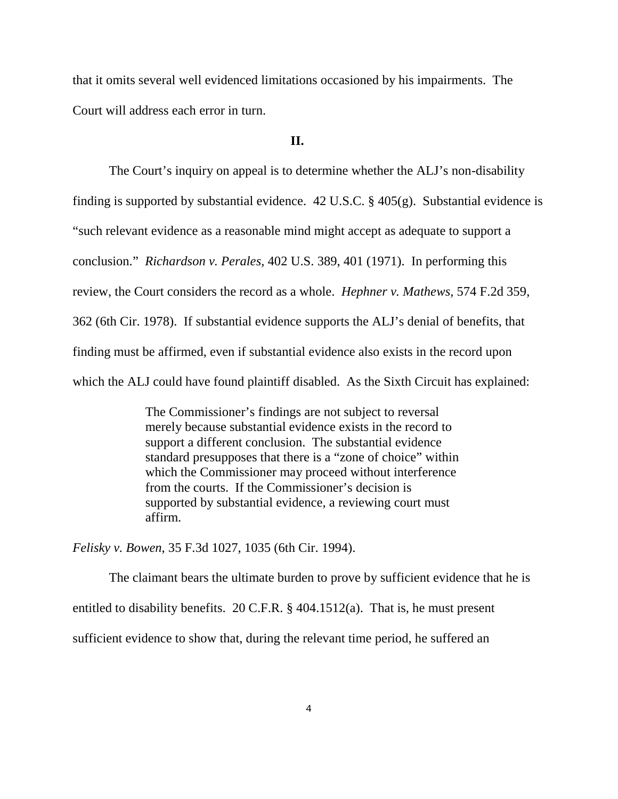that it omits several well evidenced limitations occasioned by his impairments. The Court will address each error in turn.

## **II.**

The Court's inquiry on appeal is to determine whether the ALJ's non-disability finding is supported by substantial evidence. 42 U.S.C. § 405(g). Substantial evidence is "such relevant evidence as a reasonable mind might accept as adequate to support a conclusion." *Richardson v. Perales,* 402 U.S. 389, 401 (1971). In performing this review, the Court considers the record as a whole. *Hephner v. Mathews,* 574 F.2d 359, 362 (6th Cir. 1978). If substantial evidence supports the ALJ's denial of benefits, that finding must be affirmed, even if substantial evidence also exists in the record upon which the ALJ could have found plaintiff disabled. As the Sixth Circuit has explained:

> The Commissioner's findings are not subject to reversal merely because substantial evidence exists in the record to support a different conclusion. The substantial evidence standard presupposes that there is a "zone of choice" within which the Commissioner may proceed without interference from the courts. If the Commissioner's decision is supported by substantial evidence, a reviewing court must affirm.

*Felisky v. Bowen*, 35 F.3d 1027, 1035 (6th Cir. 1994).

 The claimant bears the ultimate burden to prove by sufficient evidence that he is entitled to disability benefits. 20 C.F.R. § 404.1512(a). That is, he must present sufficient evidence to show that, during the relevant time period, he suffered an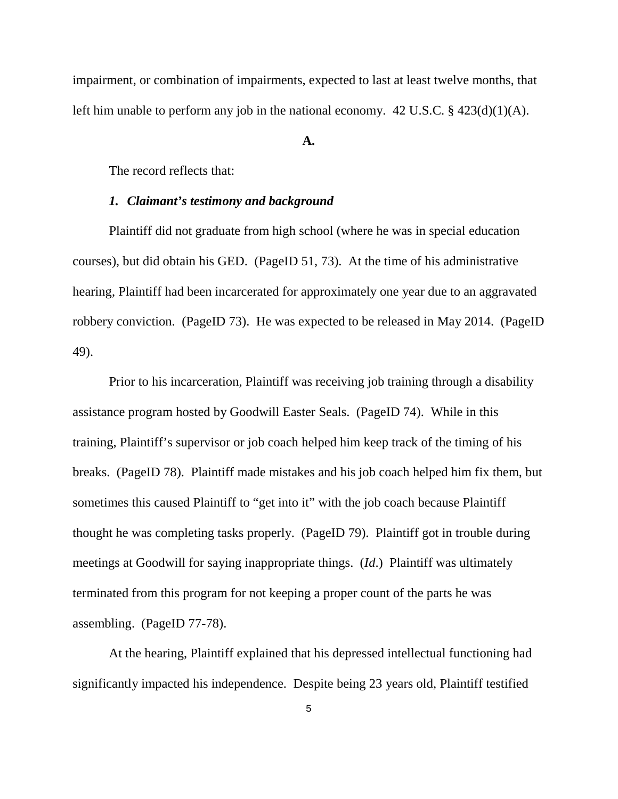impairment, or combination of impairments, expected to last at least twelve months, that left him unable to perform any job in the national economy. 42 U.S.C. § 423(d)(1)(A).

#### **A.**

The record reflects that:

## *1. Claimant's testimony and background*

Plaintiff did not graduate from high school (where he was in special education courses), but did obtain his GED. (PageID 51, 73). At the time of his administrative hearing, Plaintiff had been incarcerated for approximately one year due to an aggravated robbery conviction. (PageID 73). He was expected to be released in May 2014. (PageID 49).

Prior to his incarceration, Plaintiff was receiving job training through a disability assistance program hosted by Goodwill Easter Seals. (PageID 74). While in this training, Plaintiff's supervisor or job coach helped him keep track of the timing of his breaks. (PageID 78). Plaintiff made mistakes and his job coach helped him fix them, but sometimes this caused Plaintiff to "get into it" with the job coach because Plaintiff thought he was completing tasks properly. (PageID 79). Plaintiff got in trouble during meetings at Goodwill for saying inappropriate things. (*Id*.) Plaintiff was ultimately terminated from this program for not keeping a proper count of the parts he was assembling. (PageID 77-78).

At the hearing, Plaintiff explained that his depressed intellectual functioning had significantly impacted his independence. Despite being 23 years old, Plaintiff testified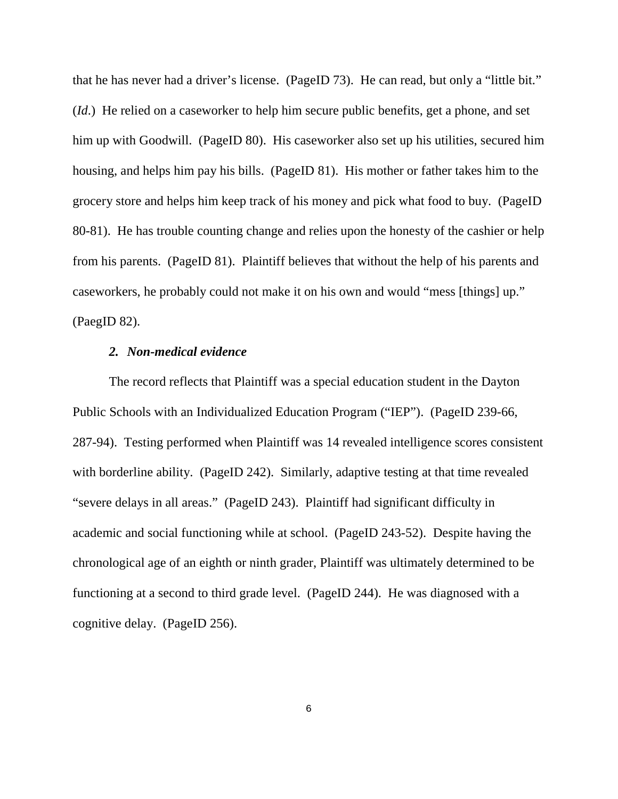that he has never had a driver's license. (PageID 73). He can read, but only a "little bit." (*Id*.) He relied on a caseworker to help him secure public benefits, get a phone, and set him up with Goodwill. (PageID 80). His caseworker also set up his utilities, secured him housing, and helps him pay his bills. (PageID 81). His mother or father takes him to the grocery store and helps him keep track of his money and pick what food to buy. (PageID 80-81). He has trouble counting change and relies upon the honesty of the cashier or help from his parents. (PageID 81). Plaintiff believes that without the help of his parents and caseworkers, he probably could not make it on his own and would "mess [things] up." (PaegID 82).

## *2. Non-medical evidence*

The record reflects that Plaintiff was a special education student in the Dayton Public Schools with an Individualized Education Program ("IEP"). (PageID 239-66, 287-94). Testing performed when Plaintiff was 14 revealed intelligence scores consistent with borderline ability. (PageID 242). Similarly, adaptive testing at that time revealed "severe delays in all areas." (PageID 243). Plaintiff had significant difficulty in academic and social functioning while at school. (PageID 243-52). Despite having the chronological age of an eighth or ninth grader, Plaintiff was ultimately determined to be functioning at a second to third grade level. (PageID 244). He was diagnosed with a cognitive delay. (PageID 256).

6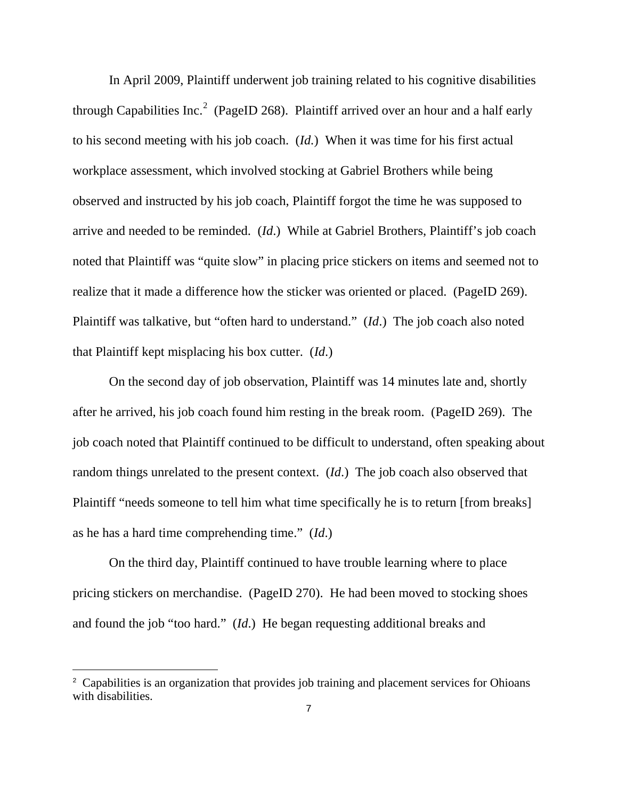In April 2009, Plaintiff underwent job training related to his cognitive disabilities through Capabilities Inc.<sup>[2](#page-6-0)</sup> (PageID 268). Plaintiff arrived over an hour and a half early to his second meeting with his job coach. (*Id.*) When it was time for his first actual workplace assessment, which involved stocking at Gabriel Brothers while being observed and instructed by his job coach, Plaintiff forgot the time he was supposed to arrive and needed to be reminded. (*Id*.) While at Gabriel Brothers, Plaintiff's job coach noted that Plaintiff was "quite slow" in placing price stickers on items and seemed not to realize that it made a difference how the sticker was oriented or placed. (PageID 269). Plaintiff was talkative, but "often hard to understand." (*Id*.) The job coach also noted that Plaintiff kept misplacing his box cutter. (*Id*.)

On the second day of job observation, Plaintiff was 14 minutes late and, shortly after he arrived, his job coach found him resting in the break room. (PageID 269). The job coach noted that Plaintiff continued to be difficult to understand, often speaking about random things unrelated to the present context. (*Id*.) The job coach also observed that Plaintiff "needs someone to tell him what time specifically he is to return [from breaks] as he has a hard time comprehending time." (*Id*.)

On the third day, Plaintiff continued to have trouble learning where to place pricing stickers on merchandise. (PageID 270). He had been moved to stocking shoes and found the job "too hard." (*Id*.) He began requesting additional breaks and

ı

<span id="page-6-0"></span><sup>&</sup>lt;sup>2</sup> Capabilities is an organization that provides job training and placement services for Ohioans with disabilities.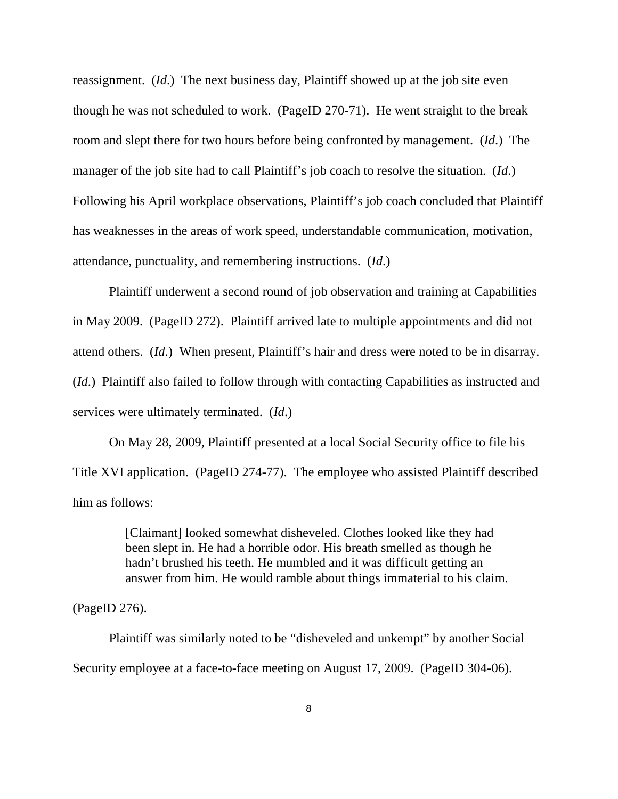reassignment. (*Id*.) The next business day, Plaintiff showed up at the job site even though he was not scheduled to work. (PageID 270-71). He went straight to the break room and slept there for two hours before being confronted by management. (*Id*.) The manager of the job site had to call Plaintiff's job coach to resolve the situation. (*Id*.) Following his April workplace observations, Plaintiff's job coach concluded that Plaintiff has weaknesses in the areas of work speed, understandable communication, motivation, attendance, punctuality, and remembering instructions. (*Id*.)

Plaintiff underwent a second round of job observation and training at Capabilities in May 2009. (PageID 272). Plaintiff arrived late to multiple appointments and did not attend others. (*Id*.) When present, Plaintiff's hair and dress were noted to be in disarray. (*Id*.) Plaintiff also failed to follow through with contacting Capabilities as instructed and services were ultimately terminated. (*Id*.)

On May 28, 2009, Plaintiff presented at a local Social Security office to file his Title XVI application. (PageID 274-77). The employee who assisted Plaintiff described him as follows:

> [Claimant] looked somewhat disheveled. Clothes looked like they had been slept in. He had a horrible odor. His breath smelled as though he hadn't brushed his teeth. He mumbled and it was difficult getting an answer from him. He would ramble about things immaterial to his claim.

(PageID 276).

Plaintiff was similarly noted to be "disheveled and unkempt" by another Social Security employee at a face-to-face meeting on August 17, 2009. (PageID 304-06).

8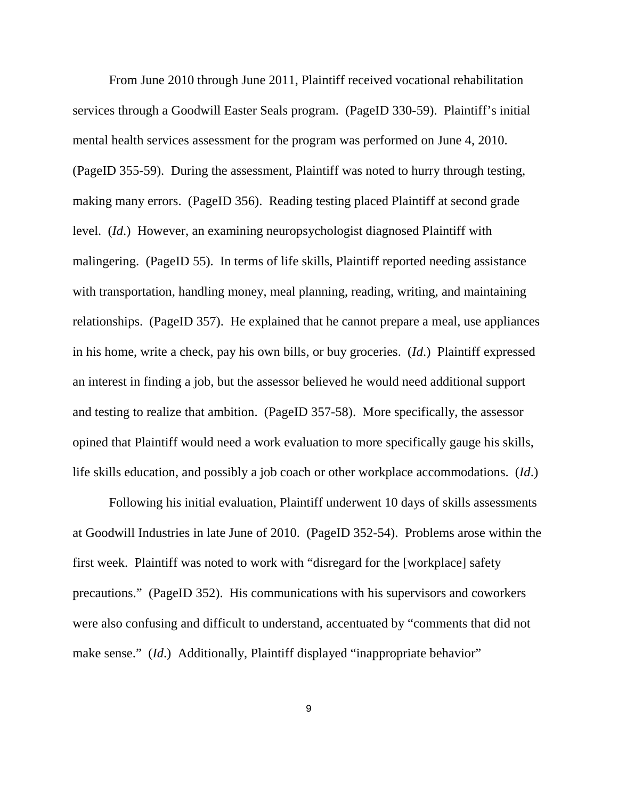From June 2010 through June 2011, Plaintiff received vocational rehabilitation services through a Goodwill Easter Seals program. (PageID 330-59). Plaintiff's initial mental health services assessment for the program was performed on June 4, 2010. (PageID 355-59). During the assessment, Plaintiff was noted to hurry through testing, making many errors. (PageID 356). Reading testing placed Plaintiff at second grade level. (*Id*.) However, an examining neuropsychologist diagnosed Plaintiff with malingering. (PageID 55). In terms of life skills, Plaintiff reported needing assistance with transportation, handling money, meal planning, reading, writing, and maintaining relationships. (PageID 357). He explained that he cannot prepare a meal, use appliances in his home, write a check, pay his own bills, or buy groceries. (*Id*.) Plaintiff expressed an interest in finding a job, but the assessor believed he would need additional support and testing to realize that ambition. (PageID 357-58). More specifically, the assessor opined that Plaintiff would need a work evaluation to more specifically gauge his skills, life skills education, and possibly a job coach or other workplace accommodations. (*Id*.)

Following his initial evaluation, Plaintiff underwent 10 days of skills assessments at Goodwill Industries in late June of 2010. (PageID 352-54). Problems arose within the first week. Plaintiff was noted to work with "disregard for the [workplace] safety precautions." (PageID 352). His communications with his supervisors and coworkers were also confusing and difficult to understand, accentuated by "comments that did not make sense." *(Id.)* Additionally, Plaintiff displayed "inappropriate behavior"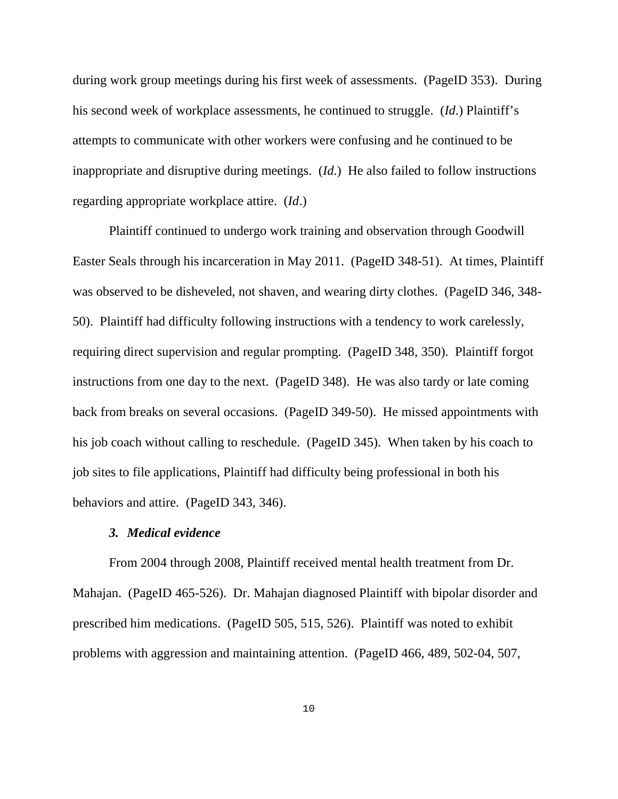during work group meetings during his first week of assessments. (PageID 353). During his second week of workplace assessments, he continued to struggle. (*Id*.) Plaintiff's attempts to communicate with other workers were confusing and he continued to be inappropriate and disruptive during meetings. (*Id*.) He also failed to follow instructions regarding appropriate workplace attire. (*Id*.)

Plaintiff continued to undergo work training and observation through Goodwill Easter Seals through his incarceration in May 2011. (PageID 348-51). At times, Plaintiff was observed to be disheveled, not shaven, and wearing dirty clothes. (PageID 346, 348- 50). Plaintiff had difficulty following instructions with a tendency to work carelessly, requiring direct supervision and regular prompting. (PageID 348, 350). Plaintiff forgot instructions from one day to the next. (PageID 348). He was also tardy or late coming back from breaks on several occasions. (PageID 349-50). He missed appointments with his job coach without calling to reschedule. (PageID 345). When taken by his coach to job sites to file applications, Plaintiff had difficulty being professional in both his behaviors and attire. (PageID 343, 346).

## *3. Medical evidence*

From 2004 through 2008, Plaintiff received mental health treatment from Dr. Mahajan. (PageID 465-526). Dr. Mahajan diagnosed Plaintiff with bipolar disorder and prescribed him medications. (PageID 505, 515, 526). Plaintiff was noted to exhibit problems with aggression and maintaining attention. (PageID 466, 489, 502-04, 507,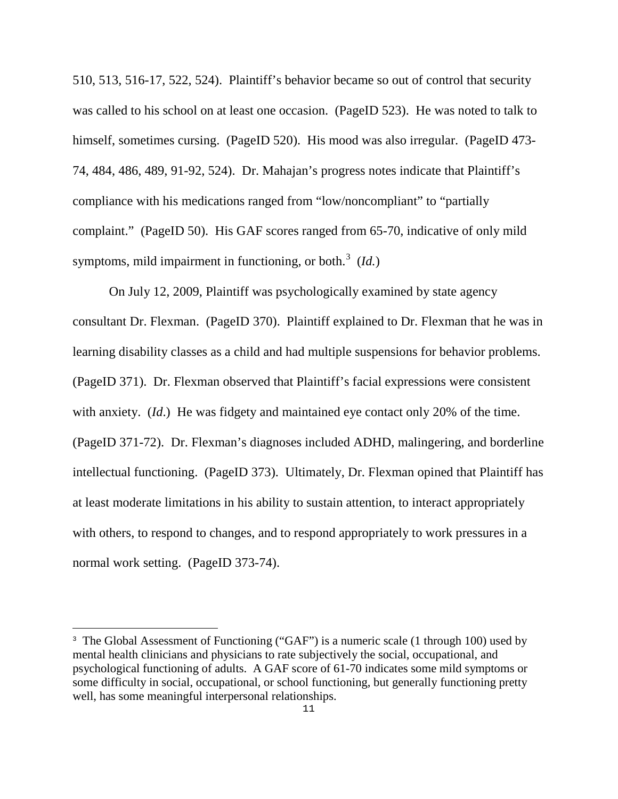510, 513, 516-17, 522, 524). Plaintiff's behavior became so out of control that security was called to his school on at least one occasion. (PageID 523). He was noted to talk to himself, sometimes cursing. (PageID 520). His mood was also irregular. (PageID 473-74, 484, 486, 489, 91-92, 524). Dr. Mahajan's progress notes indicate that Plaintiff's compliance with his medications ranged from "low/noncompliant" to "partially complaint." (PageID 50). His GAF scores ranged from 65-70, indicative of only mild symptoms, mild impairment in functioning, or both.<sup>[3](#page-10-0)</sup> (*Id.*)

On July 12, 2009, Plaintiff was psychologically examined by state agency consultant Dr. Flexman. (PageID 370). Plaintiff explained to Dr. Flexman that he was in learning disability classes as a child and had multiple suspensions for behavior problems. (PageID 371). Dr. Flexman observed that Plaintiff's facial expressions were consistent with anxiety. (*Id*.) He was fidgety and maintained eye contact only 20% of the time. (PageID 371-72). Dr. Flexman's diagnoses included ADHD, malingering, and borderline intellectual functioning. (PageID 373). Ultimately, Dr. Flexman opined that Plaintiff has at least moderate limitations in his ability to sustain attention, to interact appropriately with others, to respond to changes, and to respond appropriately to work pressures in a normal work setting. (PageID 373-74).

ı

<span id="page-10-0"></span><sup>&</sup>lt;sup>3</sup> The Global Assessment of Functioning ("GAF") is a numeric scale (1 through 100) used by mental health clinicians and physicians to rate subjectively the social, occupational, and psychological functioning of adults. A GAF score of 61-70 indicates some mild symptoms or some difficulty in social, occupational, or school functioning, but generally functioning pretty well, has some meaningful interpersonal relationships.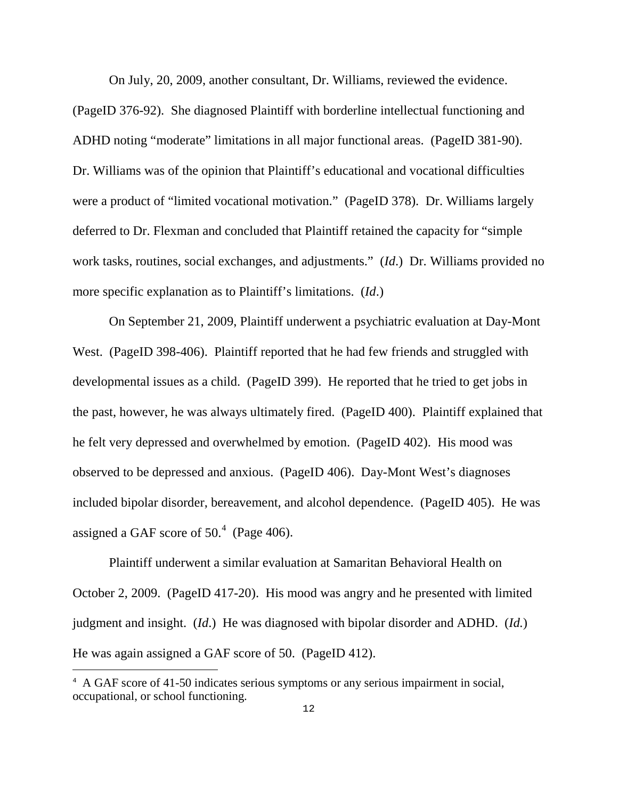On July, 20, 2009, another consultant, Dr. Williams, reviewed the evidence.

(PageID 376-92). She diagnosed Plaintiff with borderline intellectual functioning and ADHD noting "moderate" limitations in all major functional areas. (PageID 381-90). Dr. Williams was of the opinion that Plaintiff's educational and vocational difficulties were a product of "limited vocational motivation." (PageID 378). Dr. Williams largely deferred to Dr. Flexman and concluded that Plaintiff retained the capacity for "simple work tasks, routines, social exchanges, and adjustments." (*Id*.) Dr. Williams provided no more specific explanation as to Plaintiff's limitations. (*Id*.)

On September 21, 2009, Plaintiff underwent a psychiatric evaluation at Day-Mont West. (PageID 398-406). Plaintiff reported that he had few friends and struggled with developmental issues as a child. (PageID 399). He reported that he tried to get jobs in the past, however, he was always ultimately fired. (PageID 400). Plaintiff explained that he felt very depressed and overwhelmed by emotion. (PageID 402). His mood was observed to be depressed and anxious. (PageID 406). Day-Mont West's diagnoses included bipolar disorder, bereavement, and alcohol dependence. (PageID 405). He was assigned a GAF score of  $50<sup>4</sup>$  $50<sup>4</sup>$  $50<sup>4</sup>$  (Page 406).

Plaintiff underwent a similar evaluation at Samaritan Behavioral Health on October 2, 2009. (PageID 417-20). His mood was angry and he presented with limited judgment and insight. (*Id*.) He was diagnosed with bipolar disorder and ADHD. (*Id.*) He was again assigned a GAF score of 50. (PageID 412).

ı

<span id="page-11-0"></span><sup>&</sup>lt;sup>4</sup> A GAF score of 41-50 indicates serious symptoms or any serious impairment in social, occupational, or school functioning.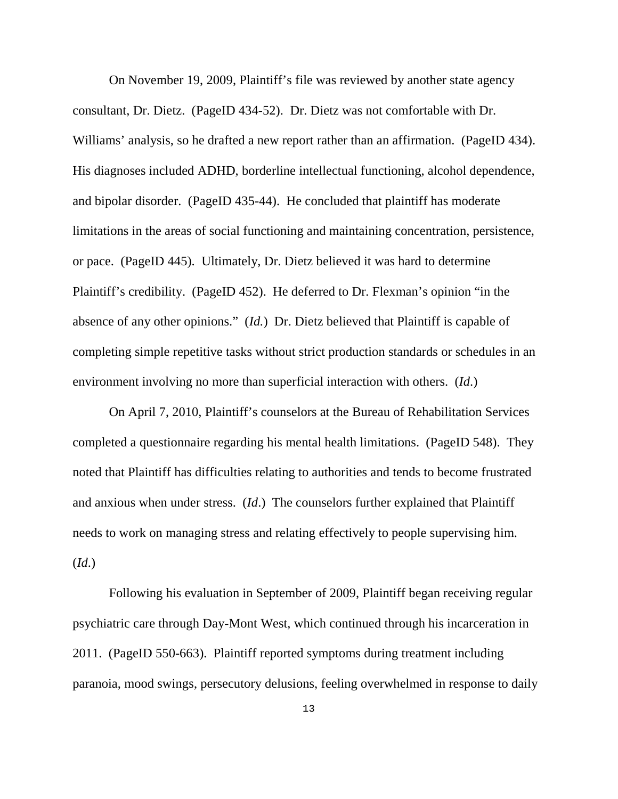On November 19, 2009, Plaintiff's file was reviewed by another state agency consultant, Dr. Dietz. (PageID 434-52). Dr. Dietz was not comfortable with Dr. Williams' analysis, so he drafted a new report rather than an affirmation. (PageID 434). His diagnoses included ADHD, borderline intellectual functioning, alcohol dependence, and bipolar disorder. (PageID 435-44). He concluded that plaintiff has moderate limitations in the areas of social functioning and maintaining concentration, persistence, or pace. (PageID 445). Ultimately, Dr. Dietz believed it was hard to determine Plaintiff's credibility. (PageID 452). He deferred to Dr. Flexman's opinion "in the absence of any other opinions." (*Id.*) Dr. Dietz believed that Plaintiff is capable of completing simple repetitive tasks without strict production standards or schedules in an environment involving no more than superficial interaction with others. (*Id*.)

On April 7, 2010, Plaintiff's counselors at the Bureau of Rehabilitation Services completed a questionnaire regarding his mental health limitations. (PageID 548). They noted that Plaintiff has difficulties relating to authorities and tends to become frustrated and anxious when under stress. (*Id*.) The counselors further explained that Plaintiff needs to work on managing stress and relating effectively to people supervising him. (*Id*.)

Following his evaluation in September of 2009, Plaintiff began receiving regular psychiatric care through Day-Mont West, which continued through his incarceration in 2011. (PageID 550-663). Plaintiff reported symptoms during treatment including paranoia, mood swings, persecutory delusions, feeling overwhelmed in response to daily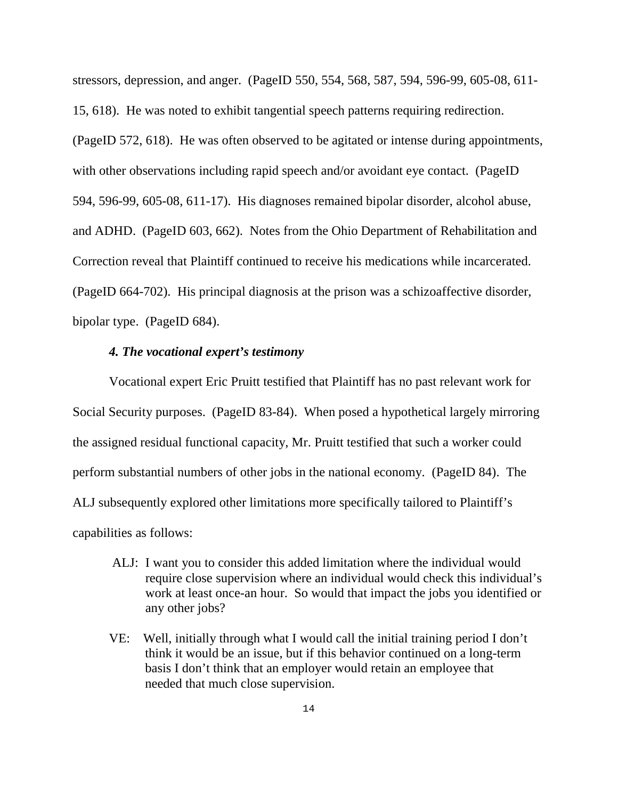stressors, depression, and anger. (PageID 550, 554, 568, 587, 594, 596-99, 605-08, 611- 15, 618). He was noted to exhibit tangential speech patterns requiring redirection. (PageID 572, 618). He was often observed to be agitated or intense during appointments, with other observations including rapid speech and/or avoidant eye contact. (PageID 594, 596-99, 605-08, 611-17). His diagnoses remained bipolar disorder, alcohol abuse, and ADHD. (PageID 603, 662). Notes from the Ohio Department of Rehabilitation and Correction reveal that Plaintiff continued to receive his medications while incarcerated. (PageID 664-702). His principal diagnosis at the prison was a schizoaffective disorder, bipolar type. (PageID 684).

## *4. The vocational expert's testimony*

Vocational expert Eric Pruitt testified that Plaintiff has no past relevant work for Social Security purposes. (PageID 83-84). When posed a hypothetical largely mirroring the assigned residual functional capacity, Mr. Pruitt testified that such a worker could perform substantial numbers of other jobs in the national economy. (PageID 84). The ALJ subsequently explored other limitations more specifically tailored to Plaintiff's capabilities as follows:

- ALJ: I want you to consider this added limitation where the individual would require close supervision where an individual would check this individual's work at least once-an hour. So would that impact the jobs you identified or any other jobs?
- VE: Well, initially through what I would call the initial training period I don't think it would be an issue, but if this behavior continued on a long-term basis I don't think that an employer would retain an employee that needed that much close supervision.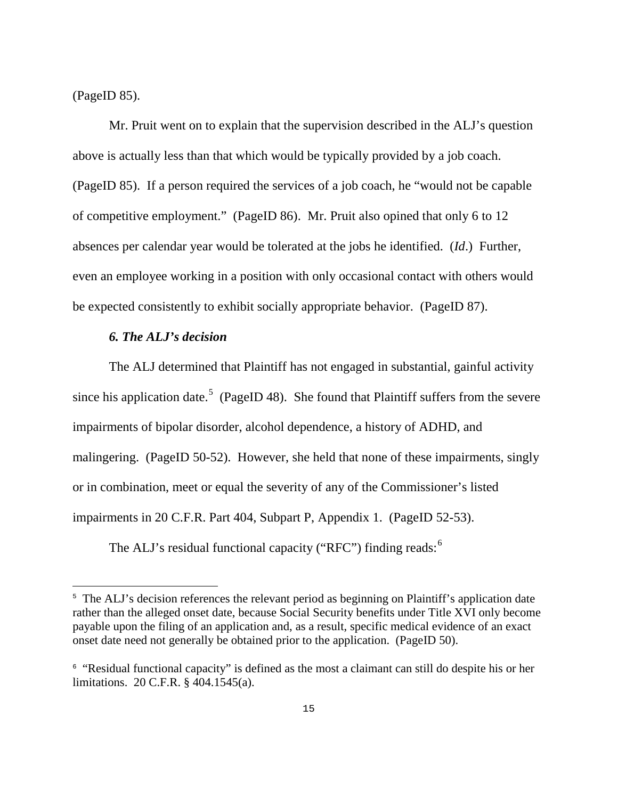(PageID 85).

i<br>L

Mr. Pruit went on to explain that the supervision described in the ALJ's question above is actually less than that which would be typically provided by a job coach. (PageID 85). If a person required the services of a job coach, he "would not be capable of competitive employment." (PageID 86). Mr. Pruit also opined that only 6 to 12 absences per calendar year would be tolerated at the jobs he identified. (*Id*.) Further, even an employee working in a position with only occasional contact with others would be expected consistently to exhibit socially appropriate behavior. (PageID 87).

## *6. The ALJ's decision*

The ALJ determined that Plaintiff has not engaged in substantial, gainful activity since his application date.<sup>[5](#page-14-0)</sup> (PageID 48). She found that Plaintiff suffers from the severe impairments of bipolar disorder, alcohol dependence, a history of ADHD, and malingering. (PageID 50-52). However, she held that none of these impairments, singly or in combination, meet or equal the severity of any of the Commissioner's listed impairments in 20 C.F.R. Part 404, Subpart P, Appendix 1. (PageID 52-53).

The ALJ's residual functional capacity ("RFC") finding reads: $<sup>6</sup>$  $<sup>6</sup>$  $<sup>6</sup>$ </sup>

<span id="page-14-0"></span><sup>&</sup>lt;sup>5</sup> The ALJ's decision references the relevant period as beginning on Plaintiff's application date rather than the alleged onset date, because Social Security benefits under Title XVI only become payable upon the filing of an application and, as a result, specific medical evidence of an exact onset date need not generally be obtained prior to the application. (PageID 50).

<span id="page-14-1"></span><sup>&</sup>lt;sup>6</sup> "Residual functional capacity" is defined as the most a claimant can still do despite his or her limitations. 20 C.F.R. § 404.1545(a).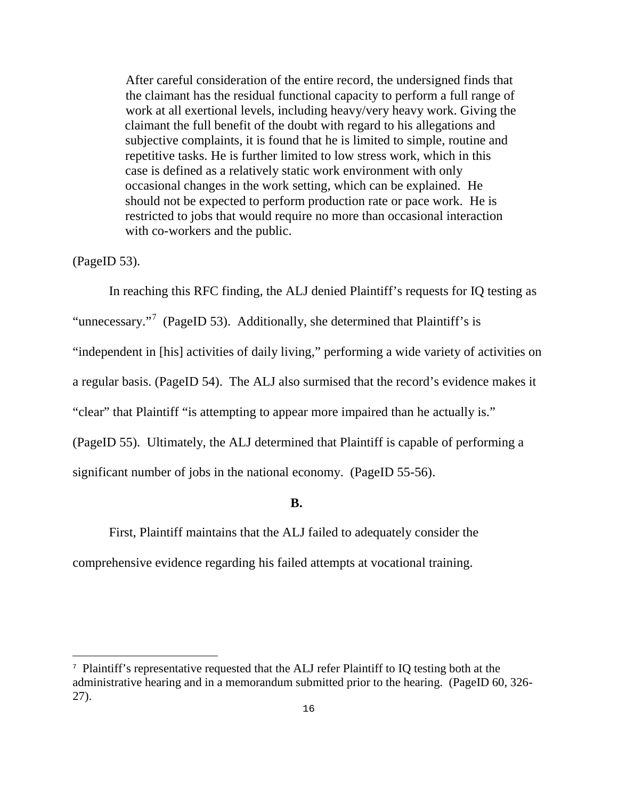After careful consideration of the entire record, the undersigned finds that the claimant has the residual functional capacity to perform a full range of work at all exertional levels, including heavy/very heavy work. Giving the claimant the full benefit of the doubt with regard to his allegations and subjective complaints, it is found that he is limited to simple, routine and repetitive tasks. He is further limited to low stress work, which in this case is defined as a relatively static work environment with only occasional changes in the work setting, which can be explained. He should not be expected to perform production rate or pace work. He is restricted to jobs that would require no more than occasional interaction with co-workers and the public.

(PageID 53).

÷,

In reaching this RFC finding, the ALJ denied Plaintiff's requests for IQ testing as "unnecessary."<sup>[7](#page-15-0)</sup> (PageID 53). Additionally, she determined that Plaintiff's is "independent in [his] activities of daily living," performing a wide variety of activities on a regular basis. (PageID 54). The ALJ also surmised that the record's evidence makes it "clear" that Plaintiff "is attempting to appear more impaired than he actually is." (PageID 55). Ultimately, the ALJ determined that Plaintiff is capable of performing a significant number of jobs in the national economy. (PageID 55-56).

## **B.**

 First, Plaintiff maintains that the ALJ failed to adequately consider the comprehensive evidence regarding his failed attempts at vocational training.

<span id="page-15-0"></span><sup>7</sup> Plaintiff's representative requested that the ALJ refer Plaintiff to IQ testing both at the administrative hearing and in a memorandum submitted prior to the hearing. (PageID 60, 326- 27).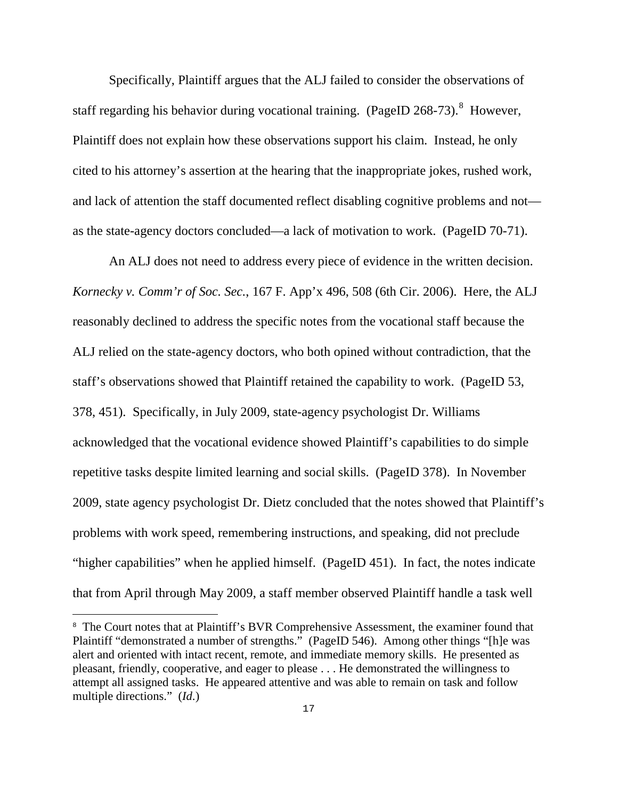Specifically, Plaintiff argues that the ALJ failed to consider the observations of staff regarding his behavior during vocational training. (PageID  $268-73$  $268-73$  $268-73$ ).<sup>8</sup> However, Plaintiff does not explain how these observations support his claim. Instead, he only cited to his attorney's assertion at the hearing that the inappropriate jokes, rushed work, and lack of attention the staff documented reflect disabling cognitive problems and not as the state-agency doctors concluded—a lack of motivation to work. (PageID 70-71).

 An ALJ does not need to address every piece of evidence in the written decision. *Kornecky v. Comm'r of Soc. Sec.*, 167 F. App'x 496, 508 (6th Cir. 2006). Here, the ALJ reasonably declined to address the specific notes from the vocational staff because the ALJ relied on the state-agency doctors, who both opined without contradiction, that the staff's observations showed that Plaintiff retained the capability to work. (PageID 53, 378, 451). Specifically, in July 2009, state-agency psychologist Dr. Williams acknowledged that the vocational evidence showed Plaintiff's capabilities to do simple repetitive tasks despite limited learning and social skills. (PageID 378). In November 2009, state agency psychologist Dr. Dietz concluded that the notes showed that Plaintiff's problems with work speed, remembering instructions, and speaking, did not preclude "higher capabilities" when he applied himself. (PageID 451). In fact, the notes indicate that from April through May 2009, a staff member observed Plaintiff handle a task well

÷,

<span id="page-16-0"></span><sup>&</sup>lt;sup>8</sup> The Court notes that at Plaintiff's BVR Comprehensive Assessment, the examiner found that Plaintiff "demonstrated a number of strengths." (PageID 546). Among other things "[h]e was alert and oriented with intact recent, remote, and immediate memory skills. He presented as pleasant, friendly, cooperative, and eager to please . . . He demonstrated the willingness to attempt all assigned tasks. He appeared attentive and was able to remain on task and follow multiple directions." (*Id*.)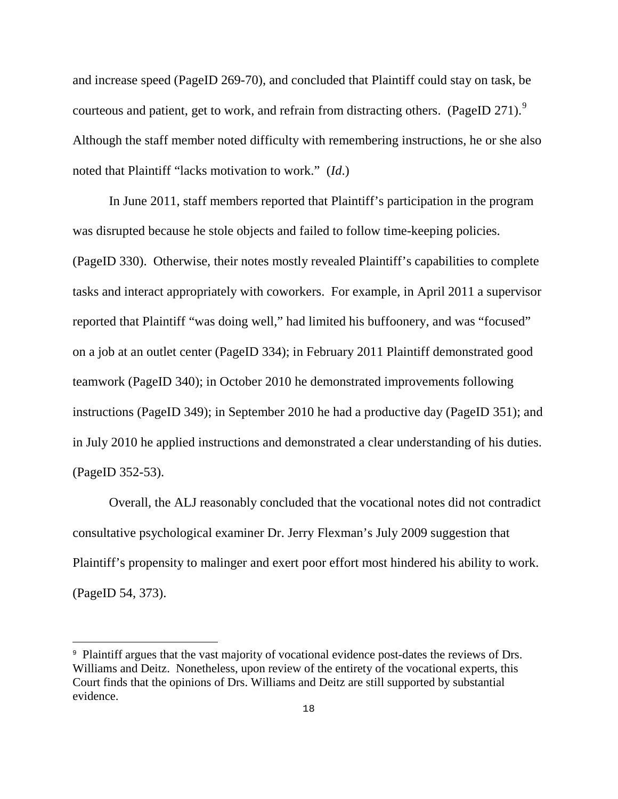and increase speed (PageID 269-70), and concluded that Plaintiff could stay on task, be courteous and patient, get to work, and refrain from distracting others. (PageID 271).<sup>[9](#page-17-0)</sup> Although the staff member noted difficulty with remembering instructions, he or she also noted that Plaintiff "lacks motivation to work." (*Id*.)

 In June 2011, staff members reported that Plaintiff's participation in the program was disrupted because he stole objects and failed to follow time-keeping policies. (PageID 330). Otherwise, their notes mostly revealed Plaintiff's capabilities to complete tasks and interact appropriately with coworkers. For example, in April 2011 a supervisor reported that Plaintiff "was doing well," had limited his buffoonery, and was "focused" on a job at an outlet center (PageID 334); in February 2011 Plaintiff demonstrated good teamwork (PageID 340); in October 2010 he demonstrated improvements following instructions (PageID 349); in September 2010 he had a productive day (PageID 351); and in July 2010 he applied instructions and demonstrated a clear understanding of his duties. (PageID 352-53).

 Overall, the ALJ reasonably concluded that the vocational notes did not contradict consultative psychological examiner Dr. Jerry Flexman's July 2009 suggestion that Plaintiff's propensity to malinger and exert poor effort most hindered his ability to work. (PageID 54, 373).

÷

<span id="page-17-0"></span><sup>&</sup>lt;sup>9</sup> Plaintiff argues that the vast majority of vocational evidence post-dates the reviews of Drs. Williams and Deitz. Nonetheless, upon review of the entirety of the vocational experts, this Court finds that the opinions of Drs. Williams and Deitz are still supported by substantial evidence.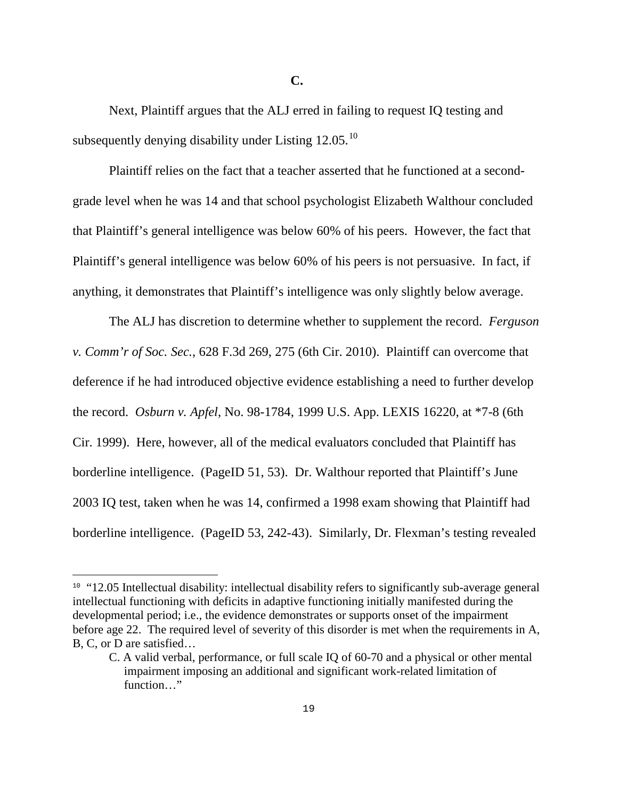Next, Plaintiff argues that the ALJ erred in failing to request IQ testing and subsequently denying disability under Listing  $12.05.^{10}$  $12.05.^{10}$  $12.05.^{10}$ 

 Plaintiff relies on the fact that a teacher asserted that he functioned at a secondgrade level when he was 14 and that school psychologist Elizabeth Walthour concluded that Plaintiff's general intelligence was below 60% of his peers. However, the fact that Plaintiff's general intelligence was below 60% of his peers is not persuasive. In fact, if anything, it demonstrates that Plaintiff's intelligence was only slightly below average.

 The ALJ has discretion to determine whether to supplement the record. *Ferguson v. Comm'r of Soc. Sec.*, 628 F.3d 269, 275 (6th Cir. 2010). Plaintiff can overcome that deference if he had introduced objective evidence establishing a need to further develop the record. *Osburn v. Apfel*, No. 98-1784, 1999 U.S. App. LEXIS 16220, at \*7-8 (6th Cir. 1999). Here, however, all of the medical evaluators concluded that Plaintiff has borderline intelligence. (PageID 51, 53). Dr. Walthour reported that Plaintiff's June 2003 IQ test, taken when he was 14, confirmed a 1998 exam showing that Plaintiff had borderline intelligence. (PageID 53, 242-43). Similarly, Dr. Flexman's testing revealed

i<br>L

<span id="page-18-0"></span><sup>&</sup>lt;sup>10</sup> "12.05 Intellectual disability: intellectual disability refers to significantly sub-average general intellectual functioning with deficits in adaptive functioning initially manifested during the developmental period; i.e., the evidence demonstrates or supports onset of the impairment before age 22. The required level of severity of this disorder is met when the requirements in A, B, C, or D are satisfied…

C. A valid verbal, performance, or full scale IQ of 60-70 and a physical or other mental impairment imposing an additional and significant work-related limitation of function…"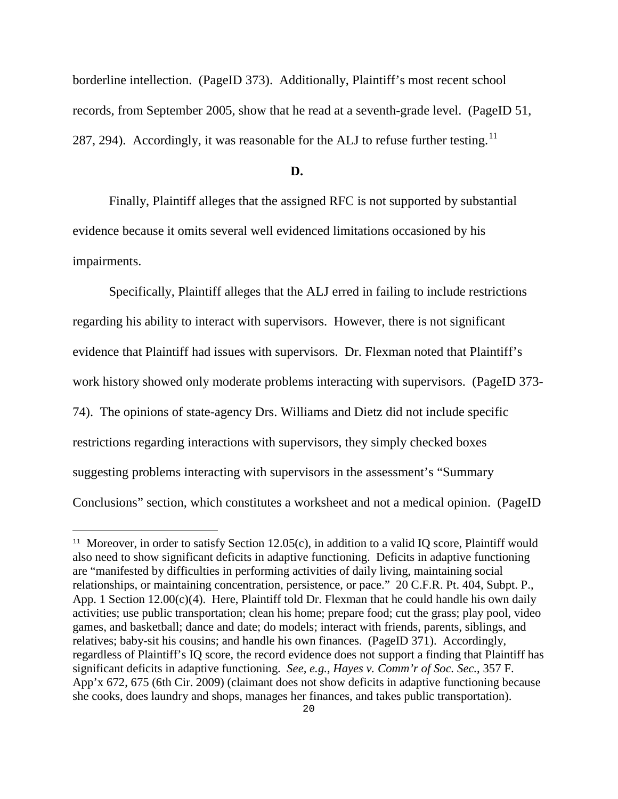borderline intellection. (PageID 373). Additionally, Plaintiff's most recent school records, from September 2005, show that he read at a seventh-grade level. (PageID 51, 287, 294). Accordingly, it was reasonable for the ALJ to refuse further testing.<sup>[11](#page-19-0)</sup>

## **D. D.**

 Finally, Plaintiff alleges that the assigned RFC is not supported by substantial evidence because it omits several well evidenced limitations occasioned by his impairments.

 Specifically, Plaintiff alleges that the ALJ erred in failing to include restrictions regarding his ability to interact with supervisors. However, there is not significant evidence that Plaintiff had issues with supervisors. Dr. Flexman noted that Plaintiff's work history showed only moderate problems interacting with supervisors. (PageID 373- 74). The opinions of state-agency Drs. Williams and Dietz did not include specific restrictions regarding interactions with supervisors, they simply checked boxes suggesting problems interacting with supervisors in the assessment's "Summary Conclusions" section, which constitutes a worksheet and not a medical opinion. (PageID

÷

<span id="page-19-0"></span><sup>&</sup>lt;sup>11</sup> Moreover, in order to satisfy Section 12.05(c), in addition to a valid IQ score, Plaintiff would also need to show significant deficits in adaptive functioning. Deficits in adaptive functioning are "manifested by difficulties in performing activities of daily living, maintaining social relationships, or maintaining concentration, persistence, or pace." 20 C.F.R. Pt. 404, Subpt. P., App. 1 Section  $12.00(c)(4)$ . Here, Plaintiff told Dr. Flexman that he could handle his own daily activities; use public transportation; clean his home; prepare food; cut the grass; play pool, video games, and basketball; dance and date; do models; interact with friends, parents, siblings, and relatives; baby-sit his cousins; and handle his own finances. (PageID 371). Accordingly, regardless of Plaintiff's IQ score, the record evidence does not support a finding that Plaintiff has significant deficits in adaptive functioning. *See, e.g., Hayes v. Comm'r of Soc. Sec.*, 357 F. App'x 672, 675 (6th Cir. 2009) (claimant does not show deficits in adaptive functioning because she cooks, does laundry and shops, manages her finances, and takes public transportation).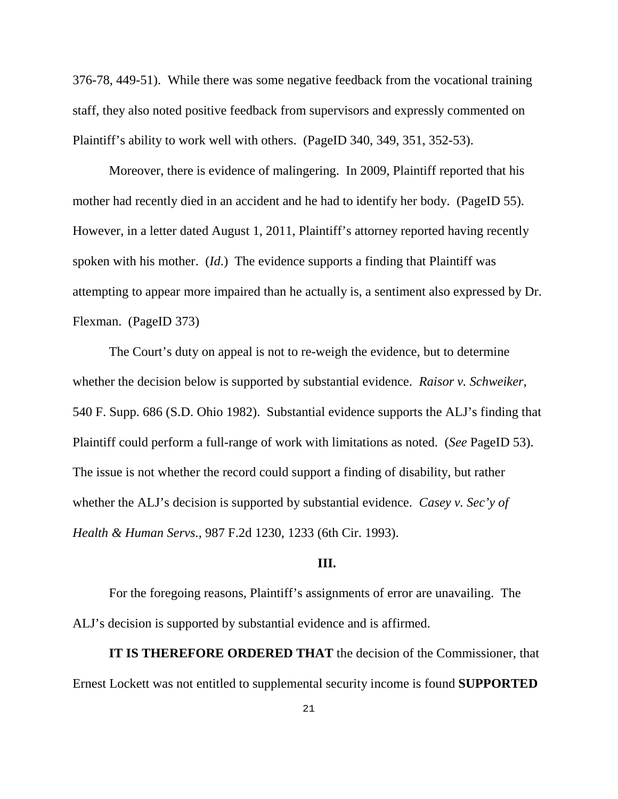376-78, 449-51). While there was some negative feedback from the vocational training staff, they also noted positive feedback from supervisors and expressly commented on Plaintiff's ability to work well with others. (PageID 340, 349, 351, 352-53).

 Moreover, there is evidence of malingering. In 2009, Plaintiff reported that his mother had recently died in an accident and he had to identify her body. (PageID 55). However, in a letter dated August 1, 2011, Plaintiff's attorney reported having recently spoken with his mother. (*Id*.) The evidence supports a finding that Plaintiff was attempting to appear more impaired than he actually is, a sentiment also expressed by Dr. Flexman. (PageID 373)

 The Court's duty on appeal is not to re-weigh the evidence, but to determine whether the decision below is supported by substantial evidence. *Raisor v. Schweiker*, 540 F. Supp. 686 (S.D. Ohio 1982). Substantial evidence supports the ALJ's finding that Plaintiff could perform a full-range of work with limitations as noted. (*See* PageID 53). The issue is not whether the record could support a finding of disability, but rather whether the ALJ's decision is supported by substantial evidence. *Casey v. Sec'y of Health & Human Servs.*, 987 F.2d 1230, 1233 (6th Cir. 1993).

## **III.**

 For the foregoing reasons, Plaintiff's assignments of error are unavailing. The ALJ's decision is supported by substantial evidence and is affirmed.

**IT IS THEREFORE ORDERED THAT** the decision of the Commissioner, that Ernest Lockett was not entitled to supplemental security income is found **SUPPORTED**